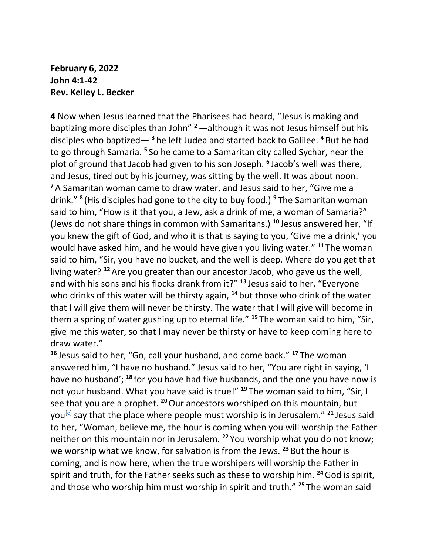## **February 6, 2022 John 4:1-42 Rev. Kelley L. Becker**

**4** Now when Jesuslearned that the Pharisees had heard, "Jesus is making and baptizing more disciples than John" **<sup>2</sup>**—although it was not Jesus himself but his disciples who baptized— **<sup>3</sup>** he left Judea and started back to Galilee. **<sup>4</sup>** But he had to go through Samaria. **<sup>5</sup>** So he came to a Samaritan city called Sychar, near the plot of ground that Jacob had given to his son Joseph. **<sup>6</sup>** Jacob's well was there, and Jesus, tired out by his journey, was sitting by the well. It was about noon. **<sup>7</sup>** A Samaritan woman came to draw water, and Jesus said to her, "Give me a drink." **<sup>8</sup>** (His disciples had gone to the city to buy food.) **<sup>9</sup>** The Samaritan woman said to him, "How is it that you, a Jew, ask a drink of me, a woman of Samaria?" (Jews do not share things in common with Samaritans.) **<sup>10</sup>** Jesus answered her, "If you knew the gift of God, and who it is that is saying to you, 'Give me a drink,' you would have asked him, and he would have given you living water." **<sup>11</sup>** The woman said to him, "Sir, you have no bucket, and the well is deep. Where do you get that living water? **<sup>12</sup>** Are you greater than our ancestor Jacob, who gave us the well, and with his sons and his flocks drank from it?" **<sup>13</sup>** Jesus said to her, "Everyone who drinks of this water will be thirsty again, **<sup>14</sup>** but those who drink of the water that I will give them will never be thirsty. The water that I will give will become in them a spring of water gushing up to eternal life." **<sup>15</sup>** The woman said to him, "Sir, give me this water, so that I may never be thirsty or have to keep coming here to draw water."

**<sup>16</sup>** Jesus said to her, "Go, call your husband, and come back." **<sup>17</sup>** The woman answered him, "I have no husband." Jesus said to her, "You are right in saying, 'I have no husband'; **<sup>18</sup>** for you have had five husbands, and the one you have now is not your husband. What you have said is true!" **<sup>19</sup>** The woman said to him, "Sir, I see that you are a prophet. **<sup>20</sup>**Our ancestors worshiped on this mountain, but you<sup>[\[c\]](https://www.biblegateway.com/passage/?search=John%204&version=NRSV#fen-NRSV-26167c)</sup> say that the place where people must worship is in Jerusalem." <sup>21</sup> Jesus said to her, "Woman, believe me, the hour is coming when you will worship the Father neither on this mountain nor in Jerusalem. **<sup>22</sup>** You worship what you do not know; we worship what we know, for salvation is from the Jews. **<sup>23</sup>** But the hour is coming, and is now here, when the true worshipers will worship the Father in spirit and truth, for the Father seeks such as these to worship him. **<sup>24</sup>**God is spirit, and those who worship him must worship in spirit and truth." **<sup>25</sup>** The woman said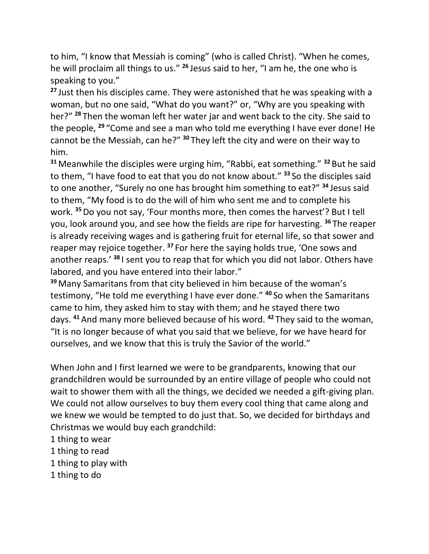to him, "I know that Messiah is coming" (who is called Christ). "When he comes, he will proclaim all things to us." **<sup>26</sup>** Jesus said to her, "I am he, the one who is speaking to you."

**<sup>27</sup>** Just then his disciples came. They were astonished that he was speaking with a woman, but no one said, "What do you want?" or, "Why are you speaking with her?" **<sup>28</sup>** Then the woman left her water jar and went back to the city. She said to the people, **<sup>29</sup>** "Come and see a man who told me everything I have ever done! He cannot be the Messiah, can he?" **<sup>30</sup>** They left the city and were on their way to him.

**<sup>31</sup>** Meanwhile the disciples were urging him, "Rabbi, eat something." **<sup>32</sup>** But he said to them, "I have food to eat that you do not know about." **<sup>33</sup>** So the disciples said to one another, "Surely no one has brought him something to eat?" **<sup>34</sup>** Jesus said to them, "My food is to do the will of him who sent me and to complete his work. **<sup>35</sup>**Do you not say, 'Four months more, then comes the harvest'? But I tell you, look around you, and see how the fields are ripe for harvesting. **<sup>36</sup>** The reaper is already receiving wages and is gathering fruit for eternal life, so that sower and reaper may rejoice together. **<sup>37</sup>** For here the saying holds true, 'One sows and another reaps.' **<sup>38</sup>** I sent you to reap that for which you did not labor. Others have labored, and you have entered into their labor."

**<sup>39</sup>** Many Samaritans from that city believed in him because of the woman's testimony, "He told me everything I have ever done." **<sup>40</sup>** So when the Samaritans came to him, they asked him to stay with them; and he stayed there two days. **<sup>41</sup>** And many more believed because of his word. **<sup>42</sup>** They said to the woman, "It is no longer because of what you said that we believe, for we have heard for ourselves, and we know that this is truly the Savior of the world."

When John and I first learned we were to be grandparents, knowing that our grandchildren would be surrounded by an entire village of people who could not wait to shower them with all the things, we decided we needed a gift-giving plan. We could not allow ourselves to buy them every cool thing that came along and we knew we would be tempted to do just that. So, we decided for birthdays and Christmas we would buy each grandchild:

- 1 thing to wear
- 1 thing to read
- 1 thing to play with
- 1 thing to do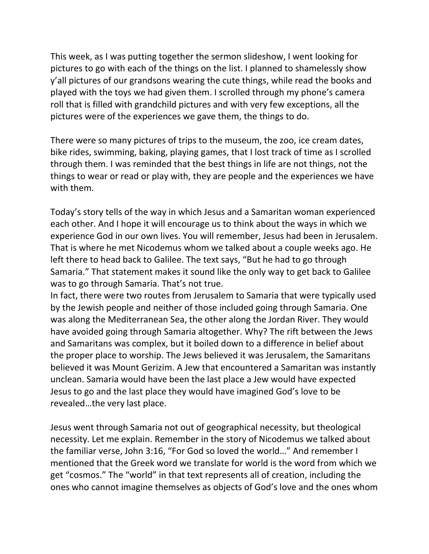This week, as I was putting together the sermon slideshow, I went looking for pictures to go with each of the things on the list. I planned to shamelessly show y'all pictures of our grandsons wearing the cute things, while read the books and played with the toys we had given them. I scrolled through my phone's camera roll that is filled with grandchild pictures and with very few exceptions, all the pictures were of the experiences we gave them, the things to do.

There were so many pictures of trips to the museum, the zoo, ice cream dates, bike rides, swimming, baking, playing games, that I lost track of time as I scrolled through them. I was reminded that the best things in life are not things, not the things to wear or read or play with, they are people and the experiences we have with them.

Today's story tells of the way in which Jesus and a Samaritan woman experienced each other. And I hope it will encourage us to think about the ways in which we experience God in our own lives. You will remember, Jesus had been in Jerusalem. That is where he met Nicodemus whom we talked about a couple weeks ago. He left there to head back to Galilee. The text says, "But he had to go through Samaria." That statement makes it sound like the only way to get back to Galilee was to go through Samaria. That's not true.

In fact, there were two routes from Jerusalem to Samaria that were typically used by the Jewish people and neither of those included going through Samaria. One was along the Mediterranean Sea, the other along the Jordan River. They would have avoided going through Samaria altogether. Why? The rift between the Jews and Samaritans was complex, but it boiled down to a difference in belief about the proper place to worship. The Jews believed it was Jerusalem, the Samaritans believed it was Mount Gerizim. A Jew that encountered a Samaritan was instantly unclean. Samaria would have been the last place a Jew would have expected Jesus to go and the last place they would have imagined God's love to be revealed…the very last place.

Jesus went through Samaria not out of geographical necessity, but theological necessity. Let me explain. Remember in the story of Nicodemus we talked about the familiar verse, John 3:16, "For God so loved the world…" And remember I mentioned that the Greek word we translate for world is the word from which we get "cosmos." The "world" in that text represents all of creation, including the ones who cannot imagine themselves as objects of God's love and the ones whom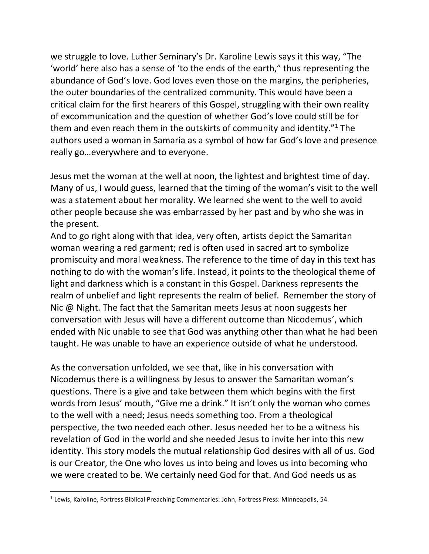we struggle to love. Luther Seminary's Dr. Karoline Lewis says it this way, "The 'world' here also has a sense of 'to the ends of the earth," thus representing the abundance of God's love. God loves even those on the margins, the peripheries, the outer boundaries of the centralized community. This would have been a critical claim for the first hearers of this Gospel, struggling with their own reality of excommunication and the question of whether God's love could still be for them and even reach them in the outskirts of community and identity." $1$  The authors used a woman in Samaria as a symbol of how far God's love and presence really go…everywhere and to everyone.

Jesus met the woman at the well at noon, the lightest and brightest time of day. Many of us, I would guess, learned that the timing of the woman's visit to the well was a statement about her morality. We learned she went to the well to avoid other people because she was embarrassed by her past and by who she was in the present.

And to go right along with that idea, very often, artists depict the Samaritan woman wearing a red garment; red is often used in sacred art to symbolize promiscuity and moral weakness. The reference to the time of day in this text has nothing to do with the woman's life. Instead, it points to the theological theme of light and darkness which is a constant in this Gospel. Darkness represents the realm of unbelief and light represents the realm of belief. Remember the story of Nic @ Night. The fact that the Samaritan meets Jesus at noon suggests her conversation with Jesus will have a different outcome than Nicodemus', which ended with Nic unable to see that God was anything other than what he had been taught. He was unable to have an experience outside of what he understood.

As the conversation unfolded, we see that, like in his conversation with Nicodemus there is a willingness by Jesus to answer the Samaritan woman's questions. There is a give and take between them which begins with the first words from Jesus' mouth, "Give me a drink." It isn't only the woman who comes to the well with a need; Jesus needs something too. From a theological perspective, the two needed each other. Jesus needed her to be a witness his revelation of God in the world and she needed Jesus to invite her into this new identity. This story models the mutual relationship God desires with all of us. God is our Creator, the One who loves us into being and loves us into becoming who we were created to be. We certainly need God for that. And God needs us as

<sup>&</sup>lt;sup>1</sup> Lewis, Karoline, Fortress Biblical Preaching Commentaries: John, Fortress Press: Minneapolis, 54.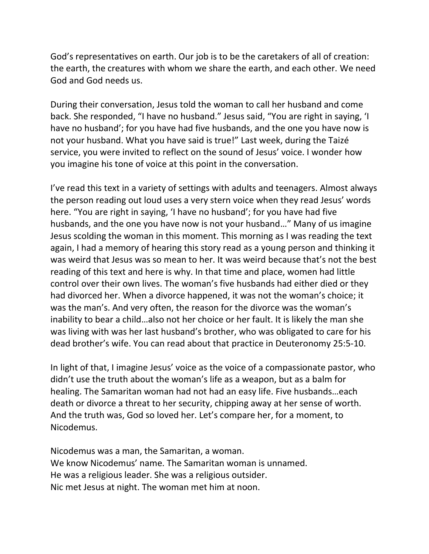God's representatives on earth. Our job is to be the caretakers of all of creation: the earth, the creatures with whom we share the earth, and each other. We need God and God needs us.

During their conversation, Jesus told the woman to call her husband and come back. She responded, "I have no husband." Jesus said, "You are right in saying, 'I have no husband'; for you have had five husbands, and the one you have now is not your husband. What you have said is true!" Last week, during the Taizé service, you were invited to reflect on the sound of Jesus' voice. I wonder how you imagine his tone of voice at this point in the conversation.

I've read this text in a variety of settings with adults and teenagers. Almost always the person reading out loud uses a very stern voice when they read Jesus' words here. "You are right in saying, 'I have no husband'; for you have had five husbands, and the one you have now is not your husband…" Many of us imagine Jesus scolding the woman in this moment. This morning as I was reading the text again, I had a memory of hearing this story read as a young person and thinking it was weird that Jesus was so mean to her. It was weird because that's not the best reading of this text and here is why. In that time and place, women had little control over their own lives. The woman's five husbands had either died or they had divorced her. When a divorce happened, it was not the woman's choice; it was the man's. And very often, the reason for the divorce was the woman's inability to bear a child…also not her choice or her fault. It is likely the man she was living with was her last husband's brother, who was obligated to care for his dead brother's wife. You can read about that practice in Deuteronomy 25:5-10.

In light of that, I imagine Jesus' voice as the voice of a compassionate pastor, who didn't use the truth about the woman's life as a weapon, but as a balm for healing. The Samaritan woman had not had an easy life. Five husbands…each death or divorce a threat to her security, chipping away at her sense of worth. And the truth was, God so loved her. Let's compare her, for a moment, to Nicodemus.

Nicodemus was a man, the Samaritan, a woman. We know Nicodemus' name. The Samaritan woman is unnamed. He was a religious leader. She was a religious outsider. Nic met Jesus at night. The woman met him at noon.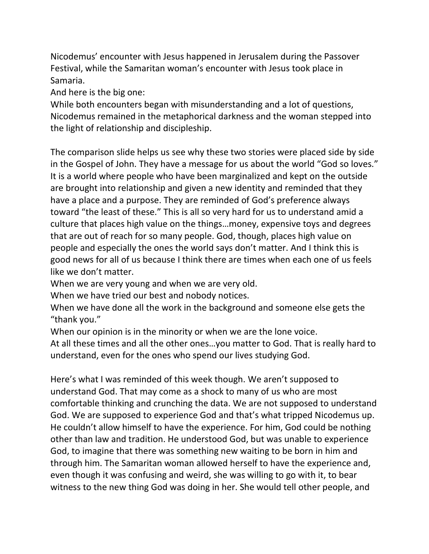Nicodemus' encounter with Jesus happened in Jerusalem during the Passover Festival, while the Samaritan woman's encounter with Jesus took place in Samaria.

And here is the big one:

While both encounters began with misunderstanding and a lot of questions, Nicodemus remained in the metaphorical darkness and the woman stepped into the light of relationship and discipleship.

The comparison slide helps us see why these two stories were placed side by side in the Gospel of John. They have a message for us about the world "God so loves." It is a world where people who have been marginalized and kept on the outside are brought into relationship and given a new identity and reminded that they have a place and a purpose. They are reminded of God's preference always toward "the least of these." This is all so very hard for us to understand amid a culture that places high value on the things…money, expensive toys and degrees that are out of reach for so many people. God, though, places high value on people and especially the ones the world says don't matter. And I think this is good news for all of us because I think there are times when each one of us feels like we don't matter.

When we are very young and when we are very old.

When we have tried our best and nobody notices.

When we have done all the work in the background and someone else gets the "thank you."

When our opinion is in the minority or when we are the lone voice.

At all these times and all the other ones…you matter to God. That is really hard to understand, even for the ones who spend our lives studying God.

Here's what I was reminded of this week though. We aren't supposed to understand God. That may come as a shock to many of us who are most comfortable thinking and crunching the data. We are not supposed to understand God. We are supposed to experience God and that's what tripped Nicodemus up. He couldn't allow himself to have the experience. For him, God could be nothing other than law and tradition. He understood God, but was unable to experience God, to imagine that there was something new waiting to be born in him and through him. The Samaritan woman allowed herself to have the experience and, even though it was confusing and weird, she was willing to go with it, to bear witness to the new thing God was doing in her. She would tell other people, and